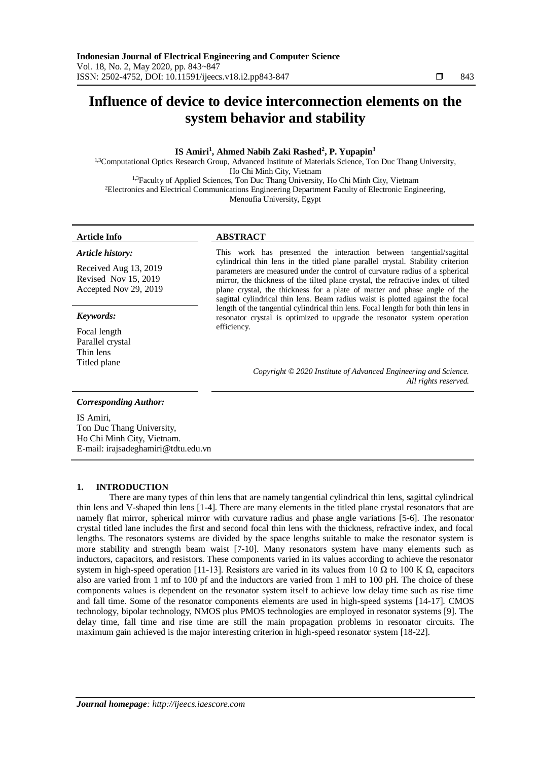# **Influence of device to device interconnection elements on the system behavior and stability**

# **IS Amiri<sup>1</sup> , Ahmed Nabih Zaki Rashed<sup>2</sup> , P. Yupapin<sup>3</sup>**

1,3Computational Optics Research Group, Advanced Institute of Materials Science, Ton Duc Thang University, Ho Chi Minh City, Vietnam <sup>1,3</sup>Faculty of Applied Sciences, Ton Duc Thang University, Ho Chi Minh City, Vietnam <sup>2</sup>Electronics and Electrical Communications Engineering Department Faculty of Electronic Engineering, Menoufia University, Egypt

#### *Article history:*

Received Aug 13, 2019 Revised Nov 15, 2019 Accepted Nov 29, 2019

#### *Keywords:*

Focal length Parallel crystal Thin lens Titled plane

## **Article Info ABSTRACT**

This work has presented the interaction between tangential/sagittal cylindrical thin lens in the titled plane parallel crystal. Stability criterion parameters are measured under the control of curvature radius of a spherical mirror, the thickness of the tilted plane crystal, the refractive index of tilted plane crystal, the thickness for a plate of matter and phase angle of the sagittal cylindrical thin lens. Beam radius waist is plotted against the focal length of the tangential cylindrical thin lens. Focal length for both thin lens in resonator crystal is optimized to upgrade the resonator system operation efficiency.

> *Copyright © 2020 Institute of Advanced Engineering and Science. All rights reserved.*

### *Corresponding Author:*

IS Amiri, Ton Duc Thang University, Ho Chi Minh City, Vietnam. E-mail[: irajsadeghamiri@tdtu.edu.vn](mailto:irajsadeghamiri@tdtu.edu.vn)

#### **1. INTRODUCTION**

There are many types of thin lens that are namely tangential cylindrical thin lens, sagittal cylindrical thin lens and V-shaped thin lens [1-4]. There are many elements in the titled plane crystal resonators that are namely flat mirror, spherical mirror with curvature radius and phase angle variations [5-6]. The resonator crystal titled lane includes the first and second focal thin lens with the thickness, refractive index, and focal lengths. The resonators systems are divided by the space lengths suitable to make the resonator system is more stability and strength beam waist [7-10]. Many resonators system have many elements such as inductors, capacitors, and resistors. These components varied in its values according to achieve the resonator system in high-speed operation [11-13]. Resistors are varied in its values from 10 Ω to 100 K  $Ω$ , capacitors also are varied from 1 mf to 100 pf and the inductors are varied from 1 mH to 100 pH. The choice of these components values is dependent on the resonator system itself to achieve low delay time such as rise time and fall time. Some of the resonator components elements are used in high-speed systems [14-17]. CMOS technology, bipolar technology, NMOS plus PMOS technologies are employed in resonator systems [9]. The delay time, fall time and rise time are still the main propagation problems in resonator circuits. The maximum gain achieved is the major interesting criterion in high-speed resonator system [18-22].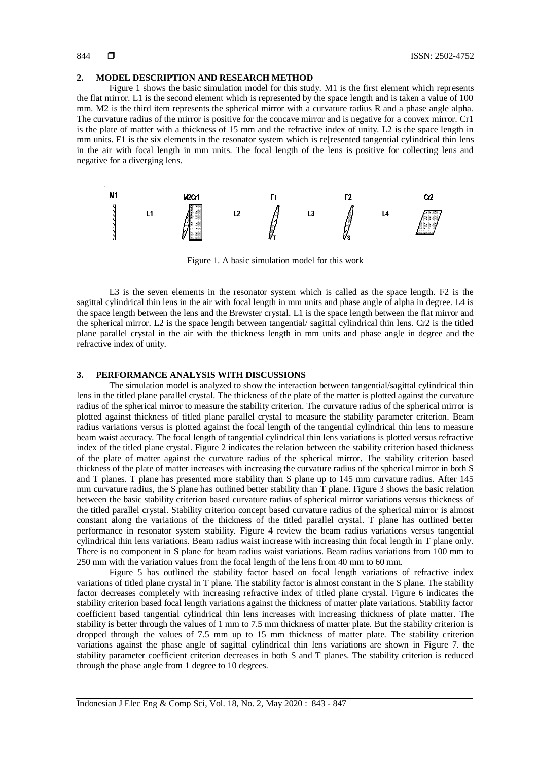#### **2. MODEL DESCRIPTION AND RESEARCH METHOD**

Figure 1 shows the basic simulation model for this study. M1 is the first element which represents the flat mirror. L1 is the second element which is represented by the space length and is taken a value of 100 mm. M2 is the third item represents the spherical mirror with a curvature radius R and a phase angle alpha. The curvature radius of the mirror is positive for the concave mirror and is negative for a convex mirror. Cr1 is the plate of matter with a thickness of 15 mm and the refractive index of unity. L2 is the space length in mm units. F1 is the six elements in the resonator system which is refresented tangential cylindrical thin lens in the air with focal length in mm units. The focal length of the lens is positive for collecting lens and negative for a diverging lens.



Figure 1. A basic simulation model for this work

L3 is the seven elements in the resonator system which is called as the space length. F2 is the sagittal cylindrical thin lens in the air with focal length in mm units and phase angle of alpha in degree. L4 is the space length between the lens and the Brewster crystal. L1 is the space length between the flat mirror and the spherical mirror. L2 is the space length between tangential/ sagittal cylindrical thin lens. Cr2 is the titled plane parallel crystal in the air with the thickness length in mm units and phase angle in degree and the refractive index of unity.

### **3. PERFORMANCE ANALYSIS WITH DISCUSSIONS**

The simulation model is analyzed to show the interaction between tangential/sagittal cylindrical thin lens in the titled plane parallel crystal. The thickness of the plate of the matter is plotted against the curvature radius of the spherical mirror to measure the stability criterion. The curvature radius of the spherical mirror is plotted against thickness of titled plane parallel crystal to measure the stability parameter criterion. Beam radius variations versus is plotted against the focal length of the tangential cylindrical thin lens to measure beam waist accuracy. The focal length of tangential cylindrical thin lens variations is plotted versus refractive index of the titled plane crystal. Figure 2 indicates the relation between the stability criterion based thickness of the plate of matter against the curvature radius of the spherical mirror. The stability criterion based thickness of the plate of matter increases with increasing the curvature radius of the spherical mirror in both S and T planes. T plane has presented more stability than S plane up to 145 mm curvature radius. After 145 mm curvature radius, the S plane has outlined better stability than  $\overline{T}$  plane. Figure 3 shows the basic relation between the basic stability criterion based curvature radius of spherical mirror variations versus thickness of the titled parallel crystal. Stability criterion concept based curvature radius of the spherical mirror is almost constant along the variations of the thickness of the titled parallel crystal. T plane has outlined better performance in resonator system stability. Figure 4 review the beam radius variations versus tangential cylindrical thin lens variations. Beam radius waist increase with increasing thin focal length in T plane only. There is no component in S plane for beam radius waist variations. Beam radius variations from 100 mm to 250 mm with the variation values from the focal length of the lens from 40 mm to 60 mm.

Figure 5 has outlined the stability factor based on focal length variations of refractive index variations of titled plane crystal in T plane. The stability factor is almost constant in the S plane. The stability factor decreases completely with increasing refractive index of titled plane crystal. Figure 6 indicates the stability criterion based focal length variations against the thickness of matter plate variations. Stability factor coefficient based tangential cylindrical thin lens increases with increasing thickness of plate matter. The stability is better through the values of 1 mm to 7.5 mm thickness of matter plate. But the stability criterion is dropped through the values of 7.5 mm up to 15 mm thickness of matter plate. The stability criterion variations against the phase angle of sagittal cylindrical thin lens variations are shown in Figure 7. the stability parameter coefficient criterion decreases in both S and T planes. The stability criterion is reduced through the phase angle from 1 degree to 10 degrees.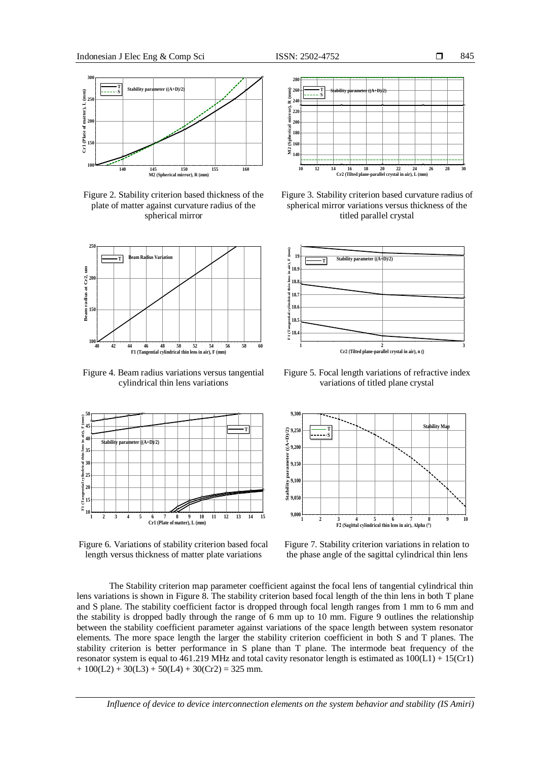



Figure 2. Stability criterion based thickness of the plate of matter against curvature radius of the spherical mirror



Figure 4. Beam radius variations versus tangential cylindrical thin lens variations



Figure 6. Variations of stability criterion based focal length versus thickness of matter plate variations



Figure 3. Stability criterion based curvature radius of spherical mirror variations versus thickness of the titled parallel crystal



Figure 5. Focal length variations of refractive index variations of titled plane crystal



Figure 7. Stability criterion variations in relation to the phase angle of the sagittal cylindrical thin lens

The Stability criterion map parameter coefficient against the focal lens of tangential cylindrical thin lens variations is shown in Figure 8. The stability criterion based focal length of the thin lens in both T plane and S plane. The stability coefficient factor is dropped through focal length ranges from 1 mm to 6 mm and the stability is dropped badly through the range of 6 mm up to 10 mm. Figure 9 outlines the relationship between the stability coefficient parameter against variations of the space length between system resonator elements. The more space length the larger the stability criterion coefficient in both S and T planes. The stability criterion is better performance in S plane than T plane. The intermode beat frequency of the resonator system is equal to  $461.219$  MHz and total cavity resonator length is estimated as  $100(L1) + 15(Cr1)$  $+ 100(L2) + 30(L3) + 50(L4) + 30(Cr2) = 325$  mm.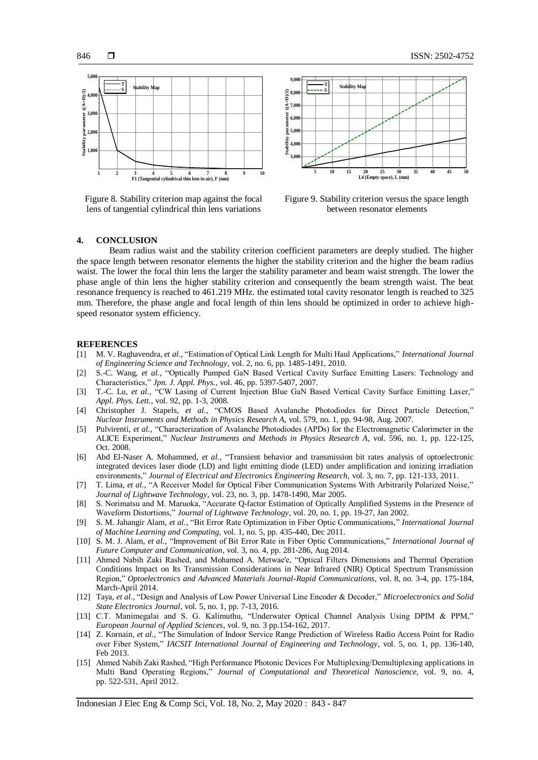

Figure 8. Stability criterion map against the focal lens of tangential cylindrical thin lens variations



Figure 9. Stability criterion versus the space length between resonator elements

#### **4. CONCLUSION**

Beam radius waist and the stability criterion coefficient parameters are deeply studied. The higher the space length between resonator elements the higher the stability criterion and the higher the beam radius waist. The lower the focal thin lens the larger the stability parameter and beam waist strength. The lower the phase angle of thin lens the higher stability criterion and consequently the beam strength waist. The beat resonance frequency is reached to 461.219 MHz. the estimated total cavity resonator length is reached to 325 mm. Therefore, the phase angle and focal length of thin lens should be optimized in order to achieve highspeed resonator system efficiency.

#### **REFERENCES**

- [1] M. V. Raghavendra, *et al.*, "Estimation of Optical Link Length for Multi Haul Applications," *International Journal of Engineering Science and Technology*, vol. 2, no. 6, pp. 1485-1491, 2010.
- [2] S.-C. Wang, *et al.*, "Optically Pumped GaN Based Vertical Cavity Surface Emitting Lasers: Technology and Characteristics," *Jpn. J. Appl. Phys.,* vol. 46, pp. 5397-5407, 2007.
- [3] T.-C. Lu, *et al.*, "CW Lasing of Current Injection Blue GaN Based Vertical Cavity Surface Emitting Laser," *Appl. Phys. Lett.,* vol. 92, pp. 1-3, 2008.
- [4] Christopher J. Stapels, *et al.*, "CMOS Based Avalanche Photodiodes for Direct Particle Detection," *Nuclear Instruments and Methods in Physics Research A,* vol. 579, no. 1, pp. 94-98, Aug. 2007.
- [5] Pulvirenti, *et al.*, "Characterization of Avalanche Photodiodes (APDs) for the Electromagnetic Calorimeter in the ALICE Experiment," *Nuclear Instruments and Methods in Physics Research A*, vol. 596, no. 1, pp. 122-125, Oct. 2008.
- [6] Abd El-Naser A. Mohammed, *et al.*, "Transient behavior and transmission bit rates analysis of optoelectronic integrated devices laser diode (LD) and light emitting diode (LED) under amplification and ionizing irradiation environments," *Journal of Electrical and Electronics Engineering Research,* vol. 3, no. 7, pp. 121-133, 2011.
- [7] T. Lima, *et al.*, "A Receiver Model for Optical Fiber Communication Systems With Arbitrarily Polarized Noise," *Journal of Lightwave Technology*, vol. 23, no. 3, pp. 1478-1490, Mar 2005.
- [8] S. Norimatsu and M. Maruoka, "Accurate Q-factor Estimation of Optically Amplified Systems in the Presence of Waveform Distortions," *Journal of Lightwave Technology*, vol. 20, no. 1, pp. 19-27, Jan 2002.
- [9] S. M. Jahangir Alam, *et al.*, "Bit Error Rate Optimization in Fiber Optic Communications," *International Journal of Machine Learning and Computing*, vol. 1, no. 5, pp. 435-440, Dec 2011.
- [10] S. M. J. Alam, *et al.*, "Improvement of Bit Error Rate in Fiber Optic Communications," *International Journal of Future Computer and Communication*, vol. 3, no. 4, pp. 281-286, Aug 2014.
- [11] Ahmed Nabih Zaki Rashed, and Mohamed A. Metwae'e, "Optical Filters Dimensions and Thermal Operation Conditions Impact on Its Transmission Considerations in Near Infrared (NIR) Optical Spectrum Transmission Region," *Optoelectronics and Advanced Materials Journal-Rapid Communications*, vol. 8, no. 3-4, pp. 175-184, March-April 2014.
- [12] Taya, *et al.*, "Design and Analysis of Low Power Universal Line Encoder & Decoder," *Microelectronics and Solid State Electronics Journal*, vol. 5, no. 1, pp. 7-13, 2016.
- [13] C.T. Manimegalai and S. G. Kalimuthu, "Underwater Optical Channel Analysis Using DPIM & PPM," *European Journal of Applied Sciences*, vol. 9, no. 3 pp.154-162, 2017.
- [14] Z. Kornain, *et al.*, "The Simulation of Indoor Service Range Prediction of Wireless Radio Access Point for Radio over Fiber System," *IACSIT International Journal of Engineering and Technology*, vol. 5, no. 1, pp. 136-140, Feb 2013.
- [15] Ahmed Nabih Zaki Rashed, "High Performance Photonic Devices For Multiplexing/Demultiplexing applications in Multi Band Operating Regions," *Journal of Computational and Theoretical Nanoscience*, vol. 9, no. 4, pp. 522-531, April 2012.